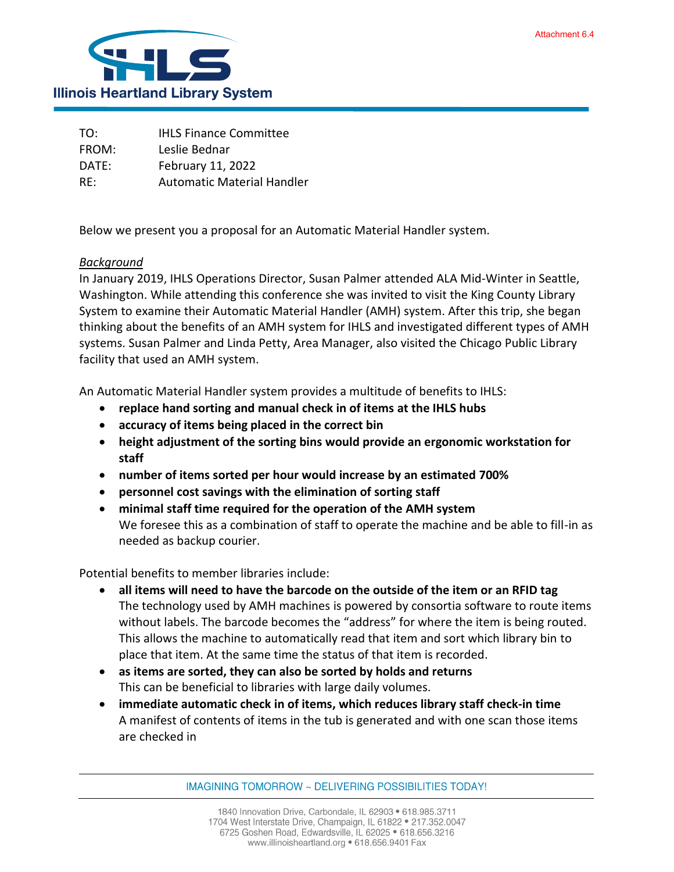

TO: IHLS Finance Committee FROM: Leslie Bednar DATE: February 11, 2022 RE: Automatic Material Handler

Below we present you a proposal for an Automatic Material Handler system.

## *Background*

In January 2019, IHLS Operations Director, Susan Palmer attended ALA Mid-Winter in Seattle, Washington. While attending this conference she was invited to visit the King County Library System to examine their Automatic Material Handler (AMH) system. After this trip, she began thinking about the benefits of an AMH system for IHLS and investigated different types of AMH systems. Susan Palmer and Linda Petty, Area Manager, also visited the Chicago Public Library facility that used an AMH system.

An Automatic Material Handler system provides a multitude of benefits to IHLS:

- **replace hand sorting and manual check in of items at the IHLS hubs**
- **accuracy of items being placed in the correct bin**
- **height adjustment of the sorting bins would provide an ergonomic workstation for staff**
- **number of items sorted per hour would increase by an estimated 700%**
- **personnel cost savings with the elimination of sorting staff**
- **minimal staff time required for the operation of the AMH system** We foresee this as a combination of staff to operate the machine and be able to fill-in as needed as backup courier.

Potential benefits to member libraries include:

- **all items will need to have the barcode on the outside of the item or an RFID tag** The technology used by AMH machines is powered by consortia software to route items without labels. The barcode becomes the "address" for where the item is being routed. This allows the machine to automatically read that item and sort which library bin to place that item. At the same time the status of that item is recorded.
- **as items are sorted, they can also be sorted by holds and returns** This can be beneficial to libraries with large daily volumes.
- **immediate automatic check in of items, which reduces library staff check-in time** A manifest of contents of items in the tub is generated and with one scan those items are checked in